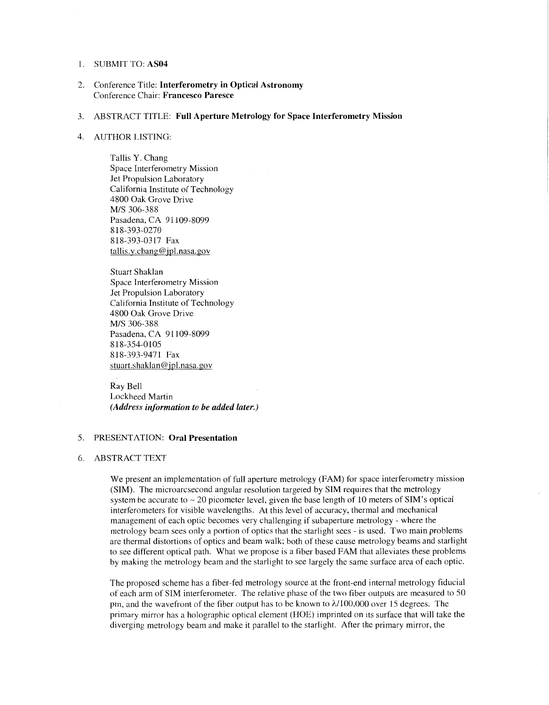### 1. SUBMIT TO: **AS04**

2. Conference Title: **Interferometry in Optical Astronomy**  Conference Chair: **Francesco Paresce** 

#### 3. ABSTRACT TITLE: **Full Aperture Metrology for Space Interferometry Mission**

#### 4. AUTHOR LISTING:

Tallis Y. Chang Space Interferometry Mission Jet Propulsion Laboratory California Institute of Technology 4800 Oak Grove Drive Pasadena, CA 91 109-8099 818-393-0317 Fax  $t$ allis.y.chang@jpl.nasa.gov M/S 306-388 818-393-0270

Stuart Shaklan Space Interferometry Mission Jet Propulsion Laboratory California Institute of Technology 4800 Oak Grove Drive Pasadena, CA 91109-8099 818-393-9471 Fax stuart.shaklan@jpl.nasa.gov *MIS* 306-388 8 18-354-0105

Ray Bell Lockheed Martin *(Address information to be added later.)* 

# 5. PRESENTATION: **Oral Presentation**

#### 6. ABSTRACT TEXT

We present an implementation of full aperture metrology (FAM) for space interferometry mission (SIM). The microarcsecond angular resolution targeted by SIM requires that the metrology system be accurate to  $\sim$  20 picometer level, given the base length of 10 meters of SIM's optical interferometers for visible wavelengths. At this level of accuracy, thermal and mechanical management of each optic becomes very challenging if subaperture metrology - where the metrology beam sees only a portion of optics that the starlight sees - is used. Two main problems are thermal distortions of optics and beam walk; both of these cause metrology beams and starlight to see different optical path. What we propose is a fiber based FAM that alleviates these problems by making the metrology beam and the starlight to see largely the same surface area of each optic.

The proposed scheme has a fiber-fed metrology source at the front-end internal metrology fiducial of each arm of SIM interferometer. The relative phase of the two fiber outputs are measured to 50 pm, and the wavefront of the fiber output has to be known to  $\lambda/100,000$  over 15 degrees. The primary mirror has a holographic optical element (HOE) imprinted on its surface that will take the diverging metrology beam and make it parallel to the starlight. After the primary mirror, the